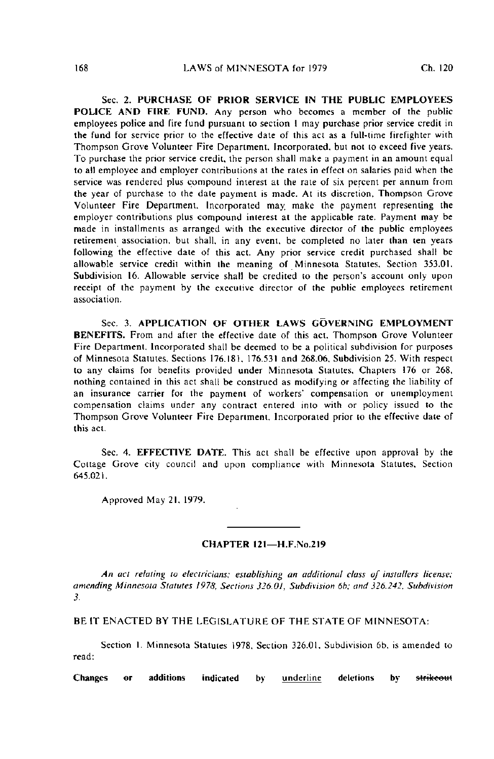Sec. 2. PURCHASE OF PRIOR SERVICE IN THE PUBLIC EMPLOYEES POLICE AND FIRE FUND. Any person who becomes a member of the public employees police and fire fund pursuant to section I may purchase prior service credit in the fund for service prior to the effective date of this act as a full-lime firefighter with Thompson Grove Volunteer Fire Department, Incorporated, but not to exceed five years. To purchase the prior service credil, the person shall make a payment in an amount equal to all employee and employer comribulions at the rates in effect on salaries paid when the service was rendered plus compound interest at the rate of six percent per annum from the year of purchase to the date payment is made. At its discretion, Thompson Grove Volunteer Fire Department. Incorporated may, make the payment representing the employer contributions plus compound interest at the applicable rate. Payment may be made in installments as arranged with the executive director of the public employees retirement association, but shall, in any event, be completed no later than len years following the effective date of this act. Any prior service credit purchased shall be allowable service credit within the meaning of Minnesota Statutes, Section 353.01, Subdivision 16. Allowable service shall be credited to the person's account only upon receipt of the payment by the executive director of the public employees retirement association.

Sec. 3. APPLICATION OF OTHER LAWS GOVERNING EMPLOYMENT BENEFITS. From and after the effective date of this act. Thompson Grove Volunteer Fire Department. Incorporated shall be deemed to be a political subdivision for purposes of Minnesota Statutes. Sections 176.181, 176.531 and 268.06, Subdivision 25. With respect to any claims for benefits provided under Minnesota Statutes. Chapters 176 or 268, nothing contained in this act shall be construed as modifying or affecting the liability of an insurance carrier for the payment of workers' compensation or unemployment compensation claims under any contract entered into with or policy issued to the Thompson Grove Volunteer Fire Department, Incorporated prior lo the effective date of this act.

Sec. 4. EFFECTIVE DATE. This act shall be effective upon approval by the Cottage Grove city council and upon compliance with Minnesota Statutes. Section 645.021.

Approved May 21. 1979.

## CHAPTER 121—H.F.No.219

An act relating to electricians; establishing an additional class of installers license: amending Minnesota Statutes 1978, Sections 326.01, Subdivision 6b: and 326.242, Subdivision 3.

BE IT ENACTED BY THE LEGISLATURE OF THE STATE OF MINNESOTA:

Section I. Minnesota Statutes 1978. Section 326.01. Subdivision 6b. is amended to read:

Changes or additions indicated by <u>underline</u> deletions by strikeout